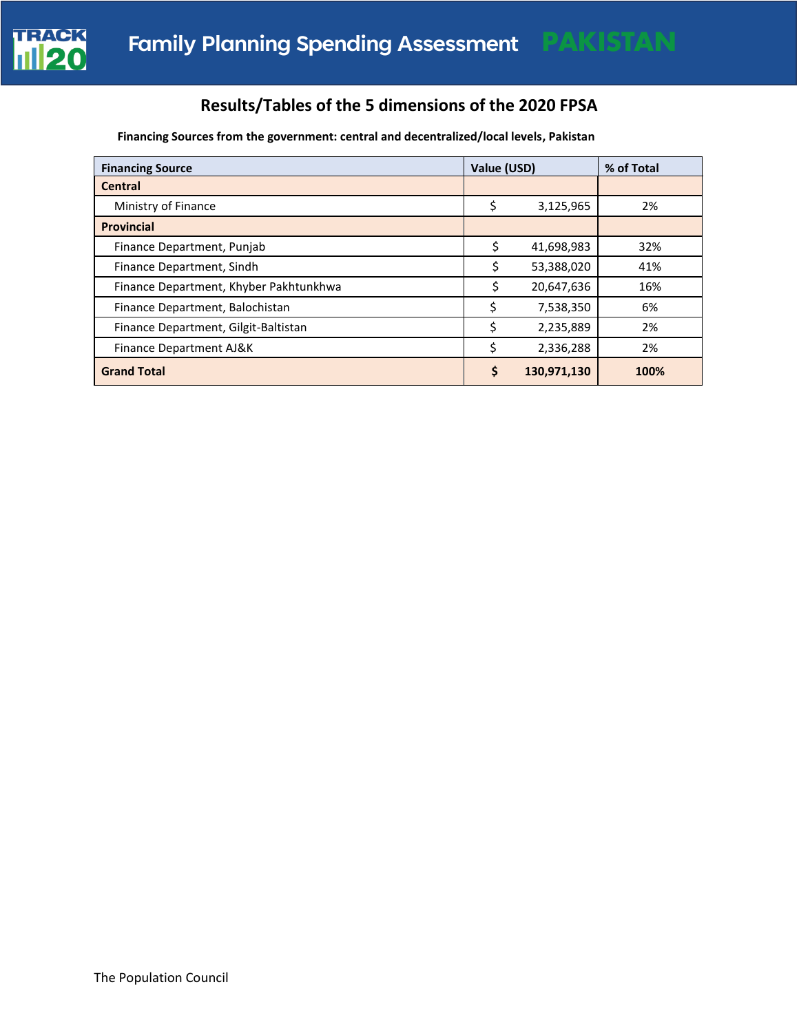

# **Results/Tables of the 5 dimensions of the 2020 FPSA**

**Financing Sources from the government: central and decentralized/local levels, Pakistan** 

| <b>Financing Source</b>                | Value (USD) |             | % of Total |
|----------------------------------------|-------------|-------------|------------|
| <b>Central</b>                         |             |             |            |
| Ministry of Finance                    | \$          | 3,125,965   | 2%         |
| <b>Provincial</b>                      |             |             |            |
| Finance Department, Punjab             | Ś           | 41,698,983  | 32%        |
| Finance Department, Sindh              |             | 53,388,020  | 41%        |
| Finance Department, Khyber Pakhtunkhwa |             | 20,647,636  | 16%        |
| Finance Department, Balochistan        |             | 7,538,350   | 6%         |
| Finance Department, Gilgit-Baltistan   |             | 2,235,889   | 2%         |
| Finance Department AJ&K                | \$          | 2,336,288   | 2%         |
| <b>Grand Total</b>                     | Ś           | 130,971,130 | 100%       |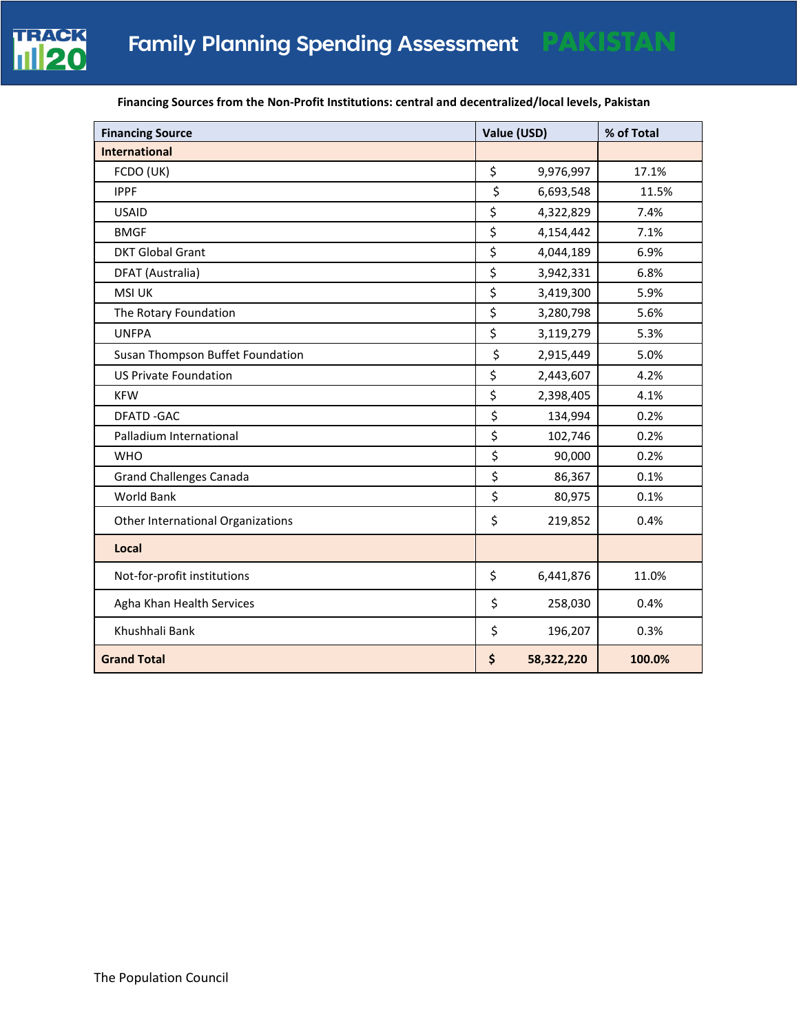

| <b>Financing Source</b>           | Value (USD)      | % of Total |
|-----------------------------------|------------------|------------|
| <b>International</b>              |                  |            |
| FCDO (UK)                         | \$<br>9,976,997  | 17.1%      |
| <b>IPPF</b>                       | \$<br>6,693,548  | 11.5%      |
| <b>USAID</b>                      | \$<br>4,322,829  | 7.4%       |
| <b>BMGF</b>                       | \$<br>4,154,442  | 7.1%       |
| <b>DKT Global Grant</b>           | \$<br>4,044,189  | 6.9%       |
| DFAT (Australia)                  | \$<br>3,942,331  | 6.8%       |
| <b>MSI UK</b>                     | \$<br>3,419,300  | 5.9%       |
| The Rotary Foundation             | \$<br>3,280,798  | 5.6%       |
| <b>UNFPA</b>                      | \$<br>3,119,279  | 5.3%       |
| Susan Thompson Buffet Foundation  | \$<br>2,915,449  | 5.0%       |
| <b>US Private Foundation</b>      | \$<br>2,443,607  | 4.2%       |
| <b>KFW</b>                        | \$<br>2,398,405  | 4.1%       |
| <b>DFATD-GAC</b>                  | \$<br>134,994    | 0.2%       |
| Palladium International           | \$<br>102,746    | 0.2%       |
| <b>WHO</b>                        | \$<br>90,000     | 0.2%       |
| <b>Grand Challenges Canada</b>    | \$<br>86,367     | 0.1%       |
| <b>World Bank</b>                 | \$<br>80,975     | 0.1%       |
| Other International Organizations | \$<br>219,852    | 0.4%       |
| Local                             |                  |            |
| Not-for-profit institutions       | \$<br>6,441,876  | 11.0%      |
| Agha Khan Health Services         | \$<br>258,030    | 0.4%       |
| Khushhali Bank                    | \$<br>196,207    | 0.3%       |
| <b>Grand Total</b>                | \$<br>58,322,220 | 100.0%     |

## **Financing Sources from the Non-Profit Institutions: central and decentralized/local levels, Pakistan**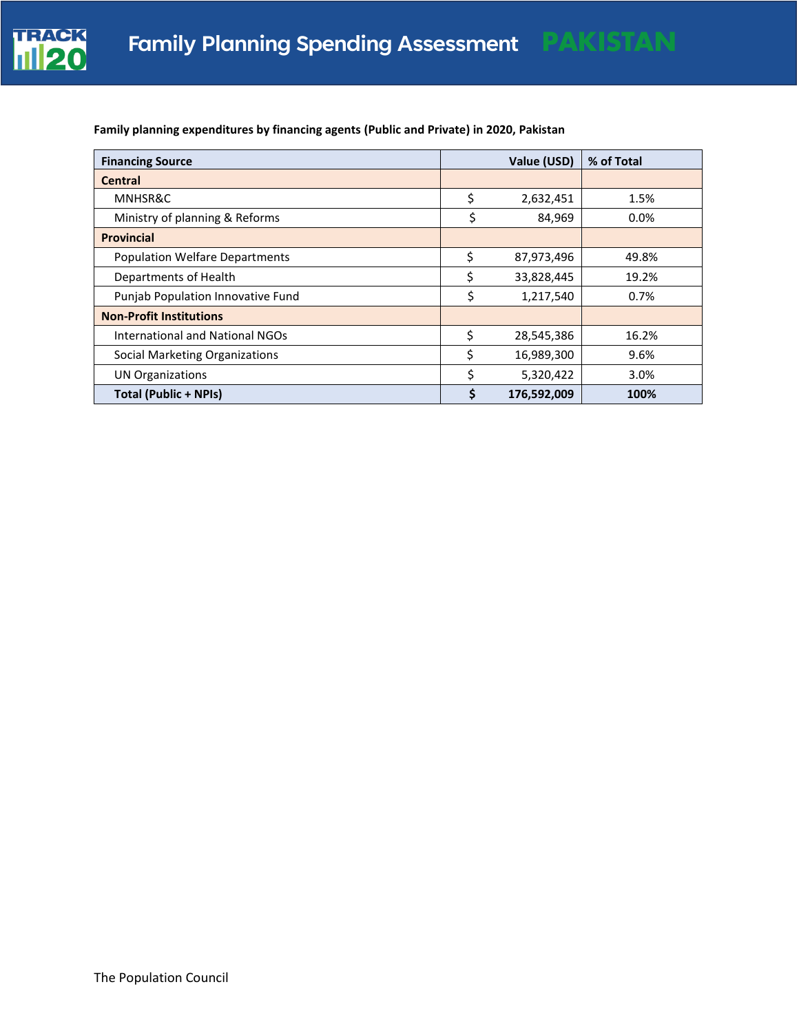

| <b>Financing Source</b>               | Value (USD)       | % of Total |
|---------------------------------------|-------------------|------------|
| <b>Central</b>                        |                   |            |
| MNHSR&C                               | \$<br>2,632,451   | 1.5%       |
| Ministry of planning & Reforms        | \$<br>84,969      | 0.0%       |
| <b>Provincial</b>                     |                   |            |
| <b>Population Welfare Departments</b> | \$<br>87,973,496  | 49.8%      |
| Departments of Health                 | \$<br>33,828,445  | 19.2%      |
| Punjab Population Innovative Fund     | \$<br>1,217,540   | 0.7%       |
| <b>Non-Profit Institutions</b>        |                   |            |
| International and National NGOs       | \$<br>28,545,386  | 16.2%      |
| Social Marketing Organizations        | \$<br>16,989,300  | 9.6%       |
| <b>UN Organizations</b>               | \$<br>5,320,422   | 3.0%       |
| <b>Total (Public + NPIs)</b>          | \$<br>176,592,009 | 100%       |

# **Family planning expenditures by financing agents (Public and Private) in 2020, Pakistan**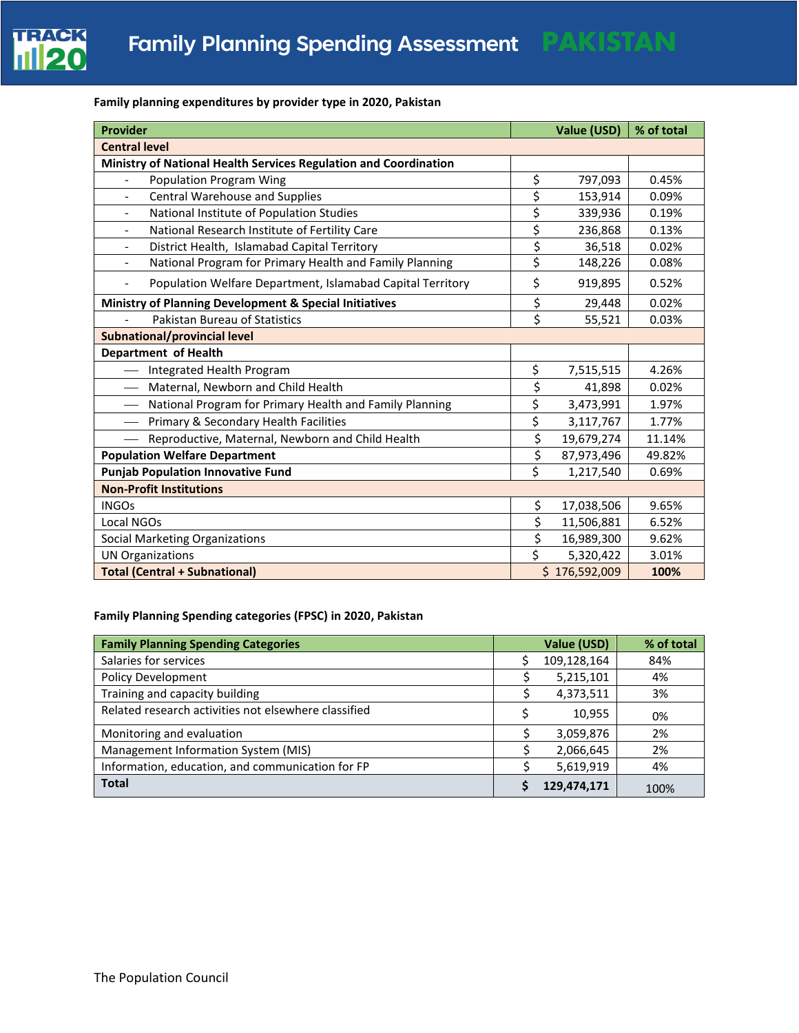

## **Family planning expenditures by provider type in 2020, Pakistan**

| <b>Provider</b>                                                                        | Value (USD)      | % of total |
|----------------------------------------------------------------------------------------|------------------|------------|
| <b>Central level</b>                                                                   |                  |            |
| Ministry of National Health Services Regulation and Coordination                       |                  |            |
| <b>Population Program Wing</b>                                                         | \$<br>797,093    | 0.45%      |
| Central Warehouse and Supplies<br>$\overline{\phantom{a}}$                             | \$<br>153,914    | 0.09%      |
| National Institute of Population Studies<br>$\overline{\phantom{a}}$                   | \$<br>339,936    | 0.19%      |
| National Research Institute of Fertility Care                                          | \$<br>236,868    | 0.13%      |
| District Health, Islamabad Capital Territory<br>$\overline{\phantom{a}}$               | \$<br>36,518     | 0.02%      |
| National Program for Primary Health and Family Planning<br>$\overline{\phantom{a}}$    | \$<br>148,226    | 0.08%      |
| Population Welfare Department, Islamabad Capital Territory<br>$\overline{\phantom{a}}$ | \$<br>919,895    | 0.52%      |
| Ministry of Planning Development & Special Initiatives                                 | \$<br>29,448     | 0.02%      |
| Pakistan Bureau of Statistics                                                          | \$<br>55,521     | 0.03%      |
| <b>Subnational/provincial level</b>                                                    |                  |            |
| Department of Health                                                                   |                  |            |
| Integrated Health Program                                                              | \$<br>7,515,515  | 4.26%      |
| Maternal, Newborn and Child Health<br>$\overline{\phantom{m}}$                         | \$<br>41,898     | 0.02%      |
| National Program for Primary Health and Family Planning<br>$\overline{\phantom{m}}$    | \$<br>3,473,991  | 1.97%      |
| Primary & Secondary Health Facilities                                                  | \$<br>3,117,767  | 1.77%      |
| Reproductive, Maternal, Newborn and Child Health                                       | \$<br>19,679,274 | 11.14%     |
| <b>Population Welfare Department</b>                                                   | \$<br>87,973,496 | 49.82%     |
| <b>Punjab Population Innovative Fund</b>                                               | \$<br>1,217,540  | 0.69%      |
| <b>Non-Profit Institutions</b>                                                         |                  |            |
| <b>INGOs</b>                                                                           | \$<br>17,038,506 | 9.65%      |
| Local NGOs                                                                             | \$<br>11,506,881 | 6.52%      |
| Social Marketing Organizations                                                         | \$<br>16,989,300 | 9.62%      |
| <b>UN Organizations</b>                                                                | \$<br>5,320,422  | 3.01%      |
| <b>Total (Central + Subnational)</b>                                                   | \$176,592,009    | 100%       |

### **Family Planning Spending categories (FPSC) in 2020, Pakistan**

| <b>Family Planning Spending Categories</b>           | Value (USD) | % of total |
|------------------------------------------------------|-------------|------------|
| Salaries for services                                | 109,128,164 | 84%        |
| <b>Policy Development</b>                            | 5,215,101   | 4%         |
| Training and capacity building                       | 4,373,511   | 3%         |
| Related research activities not elsewhere classified | 10,955      | 0%         |
| Monitoring and evaluation                            | 3,059,876   | 2%         |
| Management Information System (MIS)                  | 2,066,645   | 2%         |
| Information, education, and communication for FP     | 5,619,919   | 4%         |
| <b>Total</b>                                         | 129,474,171 | 100%       |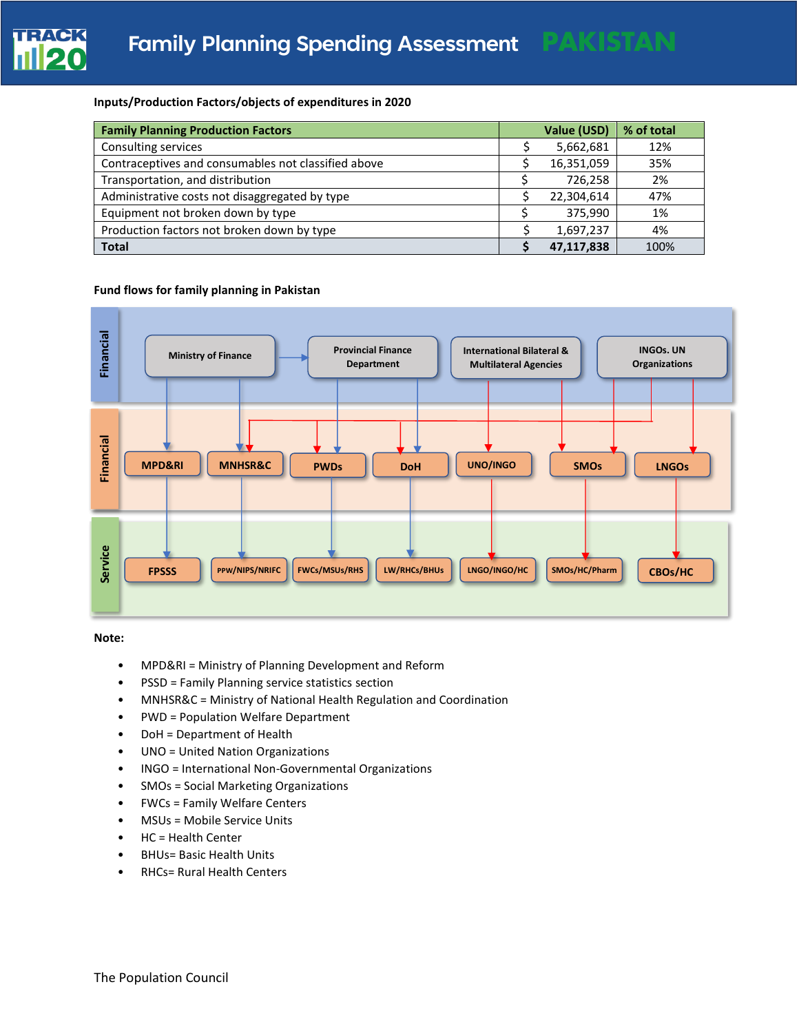

#### **Inputs/Production Factors/objects of expenditures in 2020**

| <b>Family Planning Production Factors</b>           | Value (USD) | % of total |
|-----------------------------------------------------|-------------|------------|
| Consulting services                                 | 5,662,681   | 12%        |
| Contraceptives and consumables not classified above | 16,351,059  | 35%        |
| Transportation, and distribution                    | 726,258     | 2%         |
| Administrative costs not disaggregated by type      | 22,304,614  | 47%        |
| Equipment not broken down by type                   | 375.990     | 1%         |
| Production factors not broken down by type          | 1,697,237   | 4%         |
| <b>Total</b>                                        | 47.117.838  | 100%       |

#### **Fund flows for family planning in Pakistan**



**Note:** 

- MPD&RI = Ministry of Planning Development and Reform
- PSSD = Family Planning service statistics section
- MNHSR&C = Ministry of National Health Regulation and Coordination
- PWD = Population Welfare Department
- DoH = Department of Health
- UNO = United Nation Organizations
- INGO = International Non-Governmental Organizations
- SMOs = Social Marketing Organizations
- FWCs = Family Welfare Centers
- MSUs = Mobile Service Units
- HC = Health Center
- BHUs= Basic Health Units
- RHCs= Rural Health Centers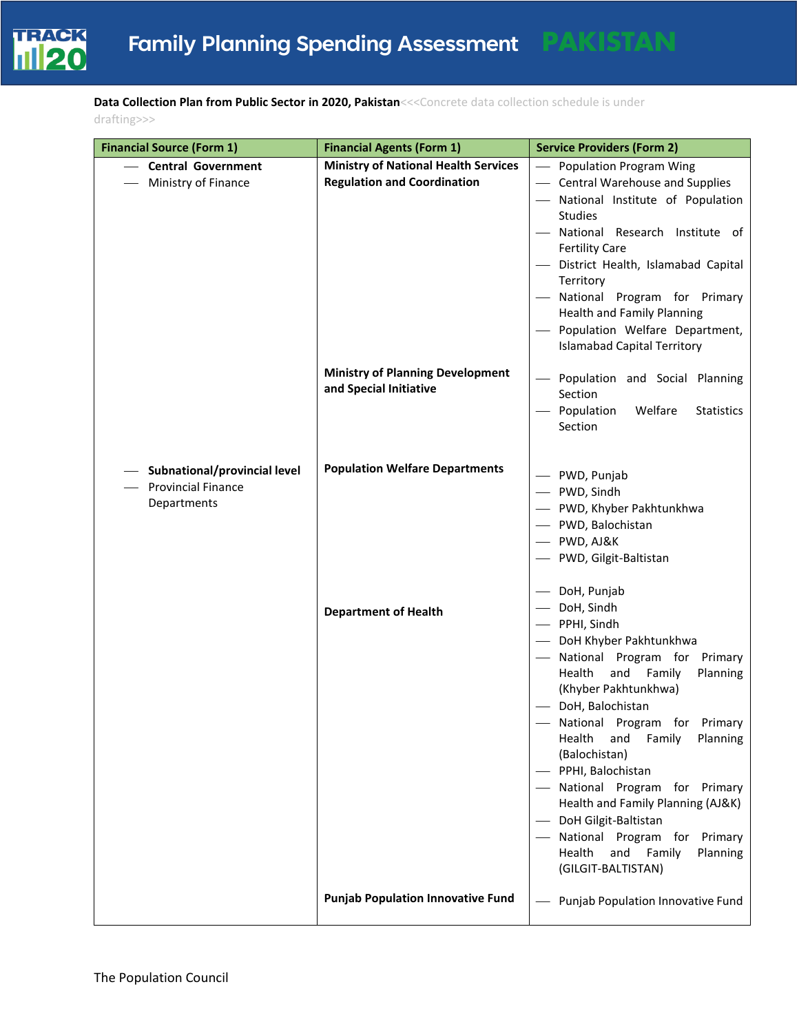

**Data Collection Plan from Public Sector in 2020, Pakistan**<<<Concrete data collection schedule is under drafting>>>

| <b>Financial Source (Form 1)</b>                                         | <b>Financial Agents (Form 1)</b>                                                  | <b>Service Providers (Form 2)</b>                                                                                                                                                                                                                                                                                                                                                                                                                                                                 |
|--------------------------------------------------------------------------|-----------------------------------------------------------------------------------|---------------------------------------------------------------------------------------------------------------------------------------------------------------------------------------------------------------------------------------------------------------------------------------------------------------------------------------------------------------------------------------------------------------------------------------------------------------------------------------------------|
| <b>Central Government</b><br>Ministry of Finance                         | <b>Ministry of National Health Services</b><br><b>Regulation and Coordination</b> | - Population Program Wing<br>- Central Warehouse and Supplies<br>- National Institute of Population<br>Studies<br>- National Research Institute of<br><b>Fertility Care</b><br>District Health, Islamabad Capital<br>Territory<br>- National Program for Primary<br><b>Health and Family Planning</b><br>- Population Welfare Department,<br><b>Islamabad Capital Territory</b>                                                                                                                   |
|                                                                          | <b>Ministry of Planning Development</b><br>and Special Initiative                 | Population and Social Planning<br>Section<br>Population<br>Welfare<br>Statistics<br>Section                                                                                                                                                                                                                                                                                                                                                                                                       |
| Subnational/provincial level<br><b>Provincial Finance</b><br>Departments | <b>Population Welfare Departments</b>                                             | - PWD, Punjab<br>- PWD, Sindh<br>- PWD, Khyber Pakhtunkhwa<br>- PWD, Balochistan<br>- PWD, AJ&K<br>- PWD, Gilgit-Baltistan                                                                                                                                                                                                                                                                                                                                                                        |
|                                                                          | <b>Department of Health</b>                                                       | - DoH, Punjab<br>DoH, Sindh<br>- PPHI, Sindh<br>DoH Khyber Pakhtunkhwa<br>National Program for Primary<br>Health<br>and Family<br>Planning<br>(Khyber Pakhtunkhwa)<br>DoH, Balochistan<br>- National Program for Primary<br>Health<br>and<br>Family<br>Planning<br>(Balochistan)<br>- PPHI, Balochistan<br>National Program for Primary<br>Health and Family Planning (AJ&K)<br>DoH Gilgit-Baltistan<br>National Program for Primary<br>and<br>Health<br>Family<br>Planning<br>(GILGIT-BALTISTAN) |
|                                                                          | <b>Punjab Population Innovative Fund</b>                                          | Punjab Population Innovative Fund                                                                                                                                                                                                                                                                                                                                                                                                                                                                 |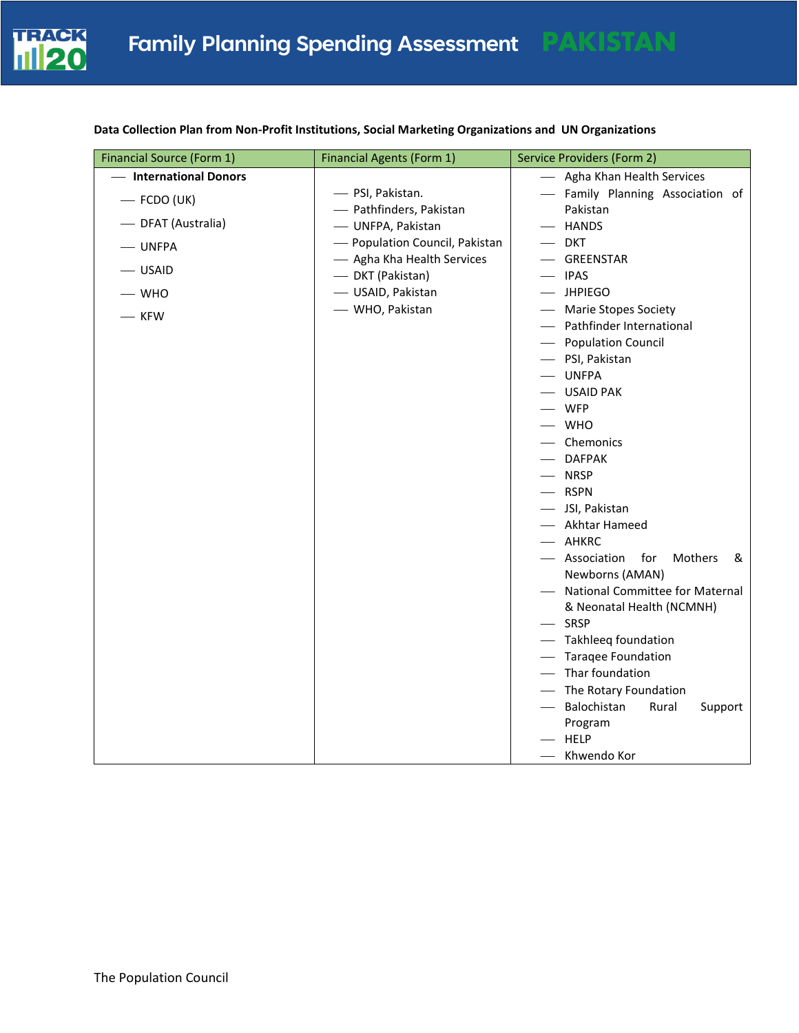

# **Data Collection Plan from Non-Profit Institutions, Social Marketing Organizations and UN Organizations**

| Financial Source (Form 1) | <b>Financial Agents (Form 1)</b>             | Service Providers (Form 2)                                     |
|---------------------------|----------------------------------------------|----------------------------------------------------------------|
| - International Donors    |                                              | - Agha Khan Health Services                                    |
| $-$ FCDO (UK)             | - PSI, Pakistan.                             | - Family Planning Association of                               |
| - DFAT (Australia)        | - Pathfinders, Pakistan<br>- UNFPA, Pakistan | Pakistan<br>- HANDS                                            |
| - UNFPA                   | - Population Council, Pakistan               | $-$ DKT                                                        |
|                           | - Agha Kha Health Services                   | — GREENSTAR                                                    |
| $-$ USAID                 | - DKT (Pakistan)                             | — IPAS                                                         |
| $-$ WHO                   | - USAID, Pakistan                            | $-$ JHPIEGO                                                    |
| - KFW                     | - WHO, Pakistan                              | - Marie Stopes Society<br>- Pathfinder International           |
|                           |                                              | - Population Council                                           |
|                           |                                              | - PSI, Pakistan                                                |
|                           |                                              | - UNFPA                                                        |
|                           |                                              | - USAID PAK                                                    |
|                           |                                              | - WFP                                                          |
|                           |                                              | $-$ WHO<br>- Chemonics                                         |
|                           |                                              | - DAFPAK                                                       |
|                           |                                              | - NRSP                                                         |
|                           |                                              | - RSPN                                                         |
|                           |                                              | - JSI, Pakistan                                                |
|                           |                                              | - Akhtar Hameed                                                |
|                           |                                              | - AHKRC                                                        |
|                           |                                              | - Association<br>for<br>Mothers<br>&                           |
|                           |                                              | Newborns (AMAN)                                                |
|                           |                                              | - National Committee for Maternal<br>& Neonatal Health (NCMNH) |
|                           |                                              | - SRSP                                                         |
|                           |                                              | - Takhleeq foundation                                          |
|                           |                                              | - Taragee Foundation                                           |
|                           |                                              | - Thar foundation                                              |
|                           |                                              | - The Rotary Foundation                                        |
|                           |                                              | - Balochistan<br>Rural<br>Support                              |
|                           |                                              | Program                                                        |
|                           |                                              | - HELP                                                         |
|                           |                                              | - Khwendo Kor                                                  |